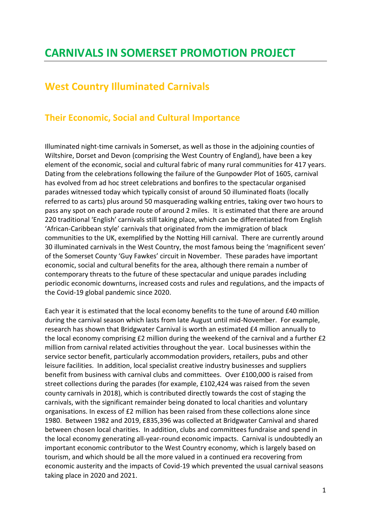## **CARNIVALS IN SOMERSET PROMOTION PROJECT**

## **West Country Illuminated Carnivals**

## **Their Economic, Social and Cultural Importance**

Illuminated night-time carnivals in Somerset, as well as those in the adjoining counties of Wiltshire, Dorset and Devon (comprising the West Country of England), have been a key element of the economic, social and cultural fabric of many rural communities for 417 years. Dating from the celebrations following the failure of the Gunpowder Plot of 1605, carnival has evolved from ad hoc street celebrations and bonfires to the spectacular organised parades witnessed today which typically consist of around 50 illuminated floats (locally referred to as carts) plus around 50 masquerading walking entries, taking over two hours to pass any spot on each parade route of around 2 miles. It is estimated that there are around 220 traditional 'English' carnivals still taking place, which can be differentiated from English 'African-Caribbean style' carnivals that originated from the immigration of black communities to the UK, exemplified by the Notting Hill carnival. There are currently around 30 illuminated carnivals in the West Country, the most famous being the 'magnificent seven' of the Somerset County 'Guy Fawkes' circuit in November. These parades have important economic, social and cultural benefits for the area, although there remain a number of contemporary threats to the future of these spectacular and unique parades including periodic economic downturns, increased costs and rules and regulations, and the impacts of the Covid-19 global pandemic since 2020.

Each year it is estimated that the local economy benefits to the tune of around £40 million during the carnival season which lasts from late August until mid-November. For example, research has shown that Bridgwater Carnival is worth an estimated £4 million annually to the local economy comprising £2 million during the weekend of the carnival and a further £2 million from carnival related activities throughout the year. Local businesses within the service sector benefit, particularly accommodation providers, retailers, pubs and other leisure facilities. In addition, local specialist creative industry businesses and suppliers benefit from business with carnival clubs and committees. Over £100,000 is raised from street collections during the parades (for example, £102,424 was raised from the seven county carnivals in 2018), which is contributed directly towards the cost of staging the carnivals, with the significant remainder being donated to local charities and voluntary organisations. In excess of £2 million has been raised from these collections alone since 1980. Between 1982 and 2019, £835,396 was collected at Bridgwater Carnival and shared between chosen local charities. In addition, clubs and committees fundraise and spend in the local economy generating all-year-round economic impacts. Carnival is undoubtedly an important economic contributor to the West Country economy, which is largely based on tourism, and which should be all the more valued in a continued era recovering from economic austerity and the impacts of Covid-19 which prevented the usual carnival seasons taking place in 2020 and 2021.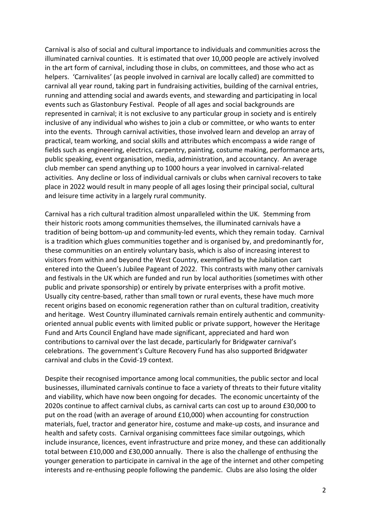Carnival is also of social and cultural importance to individuals and communities across the illuminated carnival counties. It is estimated that over 10,000 people are actively involved in the art form of carnival, including those in clubs, on committees, and those who act as helpers. 'Carnivalites' (as people involved in carnival are locally called) are committed to carnival all year round, taking part in fundraising activities, building of the carnival entries, running and attending social and awards events, and stewarding and participating in local events such as Glastonbury Festival. People of all ages and social backgrounds are represented in carnival; it is not exclusive to any particular group in society and is entirely inclusive of any individual who wishes to join a club or committee, or who wants to enter into the events. Through carnival activities, those involved learn and develop an array of practical, team working, and social skills and attributes which encompass a wide range of fields such as engineering, electrics, carpentry, painting, costume making, performance arts, public speaking, event organisation, media, administration, and accountancy. An average club member can spend anything up to 1000 hours a year involved in carnival-related activities. Any decline or loss of individual carnivals or clubs when carnival recovers to take place in 2022 would result in many people of all ages losing their principal social, cultural and leisure time activity in a largely rural community.

Carnival has a rich cultural tradition almost unparalleled within the UK. Stemming from their historic roots among communities themselves, the illuminated carnivals have a tradition of being bottom-up and community-led events, which they remain today. Carnival is a tradition which glues communities together and is organised by, and predominantly for, these communities on an entirely voluntary basis, which is also of increasing interest to visitors from within and beyond the West Country, exemplified by the Jubilation cart entered into the Queen's Jubilee Pageant of 2022. This contrasts with many other carnivals and festivals in the UK which are funded and run by local authorities (sometimes with other public and private sponsorship) or entirely by private enterprises with a profit motive. Usually city centre-based, rather than small town or rural events, these have much more recent origins based on economic regeneration rather than on cultural tradition, creativity and heritage. West Country illuminated carnivals remain entirely authentic and communityoriented annual public events with limited public or private support, however the Heritage Fund and Arts Council England have made significant, appreciated and hard won contributions to carnival over the last decade, particularly for Bridgwater carnival's celebrations. The government's Culture Recovery Fund has also supported Bridgwater carnival and clubs in the Covid-19 context.

Despite their recognised importance among local communities, the public sector and local businesses, illuminated carnivals continue to face a variety of threats to their future vitality and viability, which have now been ongoing for decades. The economic uncertainty of the 2020s continue to affect carnival clubs, as carnival carts can cost up to around £30,000 to put on the road (with an average of around £10,000) when accounting for construction materials, fuel, tractor and generator hire, costume and make-up costs, and insurance and health and safety costs. Carnival organising committees face similar outgoings, which include insurance, licences, event infrastructure and prize money, and these can additionally total between £10,000 and £30,000 annually. There is also the challenge of enthusing the younger generation to participate in carnival in the age of the internet and other competing interests and re-enthusing people following the pandemic. Clubs are also losing the older